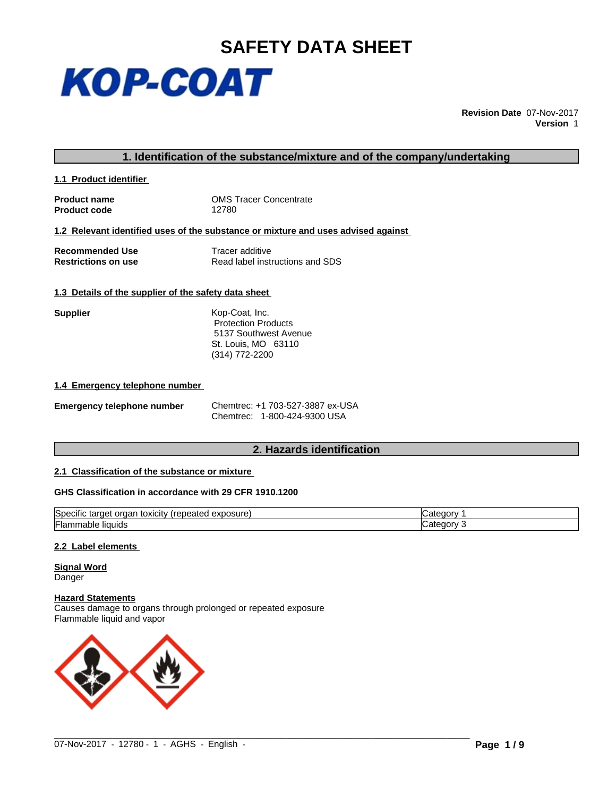

**Revision Date** 07-Nov-2017 **Version** 1

## **1. Identification of the substance/mixture and of the company/undertaking**

**1.1 Product identifier** 

**Product code** 

**Product name**<br> **Product code**<br> **Product code**<br> **Product code**<br> **Product code**<br> **Product code** 

#### **1.2 Relevant identified uses of the substance or mixture and uses advised against**

**Recommended Use**<br> **Restrictions on use**<br> **Read label institutions on use**<br> **Read label institutions Restrictions on use** Read label instructions and SDS

### **1.3 Details of the supplier of the safety data sheet**

| Kop-Coat, Inc.             |  |
|----------------------------|--|
| <b>Protection Products</b> |  |
| 5137 Southwest Avenue      |  |
| St. Louis, MO 63110        |  |
| $(314) 772 - 2200$         |  |
|                            |  |

#### **1.4 Emergency telephone number**

| <b>Emergency telephone number</b> | Chemtrec: +1 703-527-3887 ex-USA |
|-----------------------------------|----------------------------------|
|                                   | Chemtrec: 1-800-424-9300 USA     |

## **2. Hazards identification**

## **2.1 Classification of the substance or mixture**

### **GHS Classification in accordance with 29 CFR 1910.1200**

| ∽<br>$\ddotsc$<br><b>Specific</b><br>Irononed<br>exposure<br>toxicity<br>target<br>-----<br>orgar<br>∵ ⊓ebeateu | ∴ateɑor |
|-----------------------------------------------------------------------------------------------------------------|---------|
| ._<br>'⊦lammable<br>≅liauids                                                                                    | ategor. |

 $\_$  ,  $\_$  ,  $\_$  ,  $\_$  ,  $\_$  ,  $\_$  ,  $\_$  ,  $\_$  ,  $\_$  ,  $\_$  ,  $\_$  ,  $\_$  ,  $\_$  ,  $\_$  ,  $\_$  ,  $\_$  ,  $\_$  ,  $\_$  ,  $\_$  ,  $\_$  ,  $\_$  ,  $\_$  ,  $\_$  ,  $\_$  ,  $\_$  ,  $\_$  ,  $\_$  ,  $\_$  ,  $\_$  ,  $\_$  ,  $\_$  ,  $\_$  ,  $\_$  ,  $\_$  ,  $\_$  ,  $\_$  ,  $\_$  ,

#### **2.2 Label elements**

**Signal Word Danger** 

**Hazard Statements**

Causes damage to organs through prolonged or repeated exposure Flammable liquid and vapor

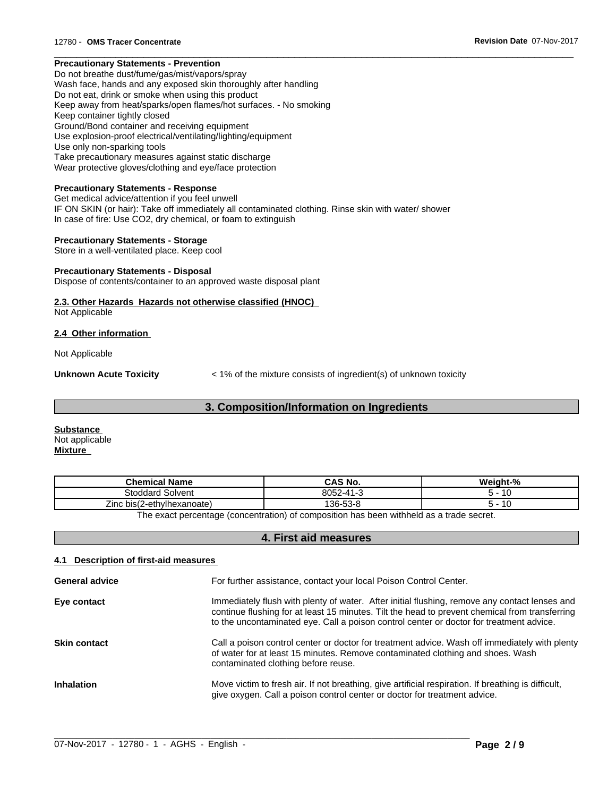## **Precautionary Statements - Prevention**

Do not breathe dust/fume/gas/mist/vapors/spray Wash face, hands and any exposed skin thoroughly after handling Do not eat, drink or smoke when using this product Keep away from heat/sparks/open flames/hot surfaces. - No smoking Keep container tightly closed Ground/Bond container and receiving equipment Use explosion-proof electrical/ventilating/lighting/equipment Use only non-sparking tools Take precautionary measures against static discharge Wear protective gloves/clothing and eye/face protection

#### **Precautionary Statements - Response**

Get medical advice/attention if you feel unwell IF ON SKIN (or hair): Take off immediately all contaminated clothing. Rinse skin with water/ shower In case of fire: Use CO2, dry chemical, or foam to extinguish

#### **Precautionary Statements - Storage**

Store in a well-ventilated place. Keep cool

#### **Precautionary Statements - Disposal**

Dispose of contents/container to an approved waste disposal plant

# **2.3. Other Hazards Hazards not otherwise classified (HNOC)**

Not Applicable

#### **2.4 Other information**

Not Applicable

**Unknown Acute Toxicity**  $\leq 1\%$  of the mixture consists of ingredient(s) of unknown toxicity

 $\overline{\phantom{a}}$  ,  $\overline{\phantom{a}}$  ,  $\overline{\phantom{a}}$  ,  $\overline{\phantom{a}}$  ,  $\overline{\phantom{a}}$  ,  $\overline{\phantom{a}}$  ,  $\overline{\phantom{a}}$  ,  $\overline{\phantom{a}}$  ,  $\overline{\phantom{a}}$  ,  $\overline{\phantom{a}}$  ,  $\overline{\phantom{a}}$  ,  $\overline{\phantom{a}}$  ,  $\overline{\phantom{a}}$  ,  $\overline{\phantom{a}}$  ,  $\overline{\phantom{a}}$  ,  $\overline{\phantom{a}}$ 

## **3. Composition/Information on Ingredients**

**Substance**  Not applicable **Mixture**

| <b>Chemical Name</b>            | CAS No.  | Weight-%       |
|---------------------------------|----------|----------------|
| <b>Stoddard Solvent</b>         | 8052-41- | А              |
| ?-ethvlhexanoate)<br>Zinc bis(2 | 136-53-8 | $\overline{ }$ |
|                                 |          |                |

The exact percentage (concentration) of composition has been withheld as a trade secret.

## **4. First aid measures**

#### **4.1 Description of first-aid measures**

| <b>General advice</b> | For further assistance, contact your local Poison Control Center.                                                                                                                                                                                                                          |
|-----------------------|--------------------------------------------------------------------------------------------------------------------------------------------------------------------------------------------------------------------------------------------------------------------------------------------|
| Eye contact           | Immediately flush with plenty of water. After initial flushing, remove any contact lenses and<br>continue flushing for at least 15 minutes. Tilt the head to prevent chemical from transferring<br>to the uncontaminated eye. Call a poison control center or doctor for treatment advice. |
| <b>Skin contact</b>   | Call a poison control center or doctor for treatment advice. Wash off immediately with plenty<br>of water for at least 15 minutes. Remove contaminated clothing and shoes. Wash<br>contaminated clothing before reuse.                                                                     |
| <b>Inhalation</b>     | Move victim to fresh air. If not breathing, give artificial respiration. If breathing is difficult,<br>give oxygen. Call a poison control center or doctor for treatment advice.                                                                                                           |

 $\_$  ,  $\_$  ,  $\_$  ,  $\_$  ,  $\_$  ,  $\_$  ,  $\_$  ,  $\_$  ,  $\_$  ,  $\_$  ,  $\_$  ,  $\_$  ,  $\_$  ,  $\_$  ,  $\_$  ,  $\_$  ,  $\_$  ,  $\_$  ,  $\_$  ,  $\_$  ,  $\_$  ,  $\_$  ,  $\_$  ,  $\_$  ,  $\_$  ,  $\_$  ,  $\_$  ,  $\_$  ,  $\_$  ,  $\_$  ,  $\_$  ,  $\_$  ,  $\_$  ,  $\_$  ,  $\_$  ,  $\_$  ,  $\_$  ,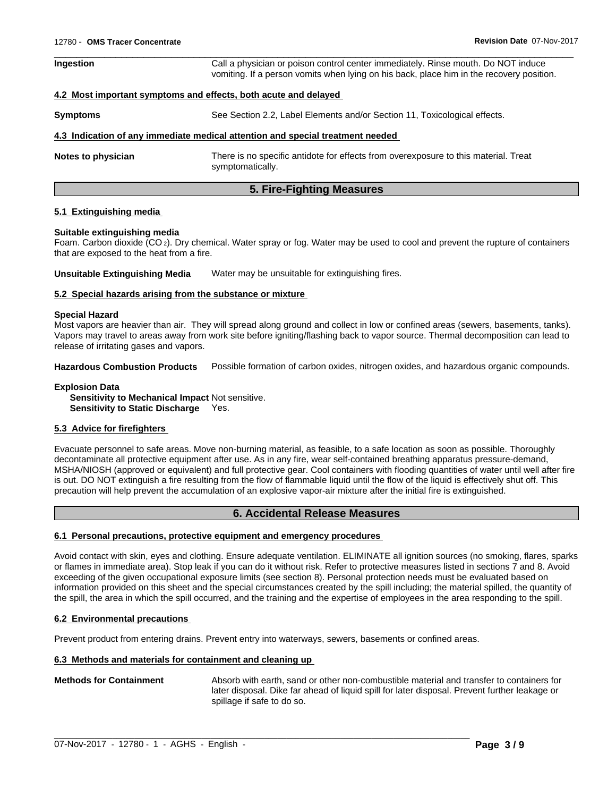| Call a physician or poison control center immediately. Rinse mouth. Do NOT induce<br>vomiting. If a person vomits when lying on his back, place him in the recovery position. |
|-------------------------------------------------------------------------------------------------------------------------------------------------------------------------------|
| 4.2 Most important symptoms and effects, both acute and delayed                                                                                                               |
| See Section 2.2, Label Elements and/or Section 11, Toxicological effects.                                                                                                     |
| 4.3 Indication of any immediate medical attention and special treatment needed                                                                                                |
| There is no specific antidote for effects from overexposure to this material. Treat<br>symptomatically.                                                                       |
|                                                                                                                                                                               |

 $\overline{\phantom{a}}$  ,  $\overline{\phantom{a}}$  ,  $\overline{\phantom{a}}$  ,  $\overline{\phantom{a}}$  ,  $\overline{\phantom{a}}$  ,  $\overline{\phantom{a}}$  ,  $\overline{\phantom{a}}$  ,  $\overline{\phantom{a}}$  ,  $\overline{\phantom{a}}$  ,  $\overline{\phantom{a}}$  ,  $\overline{\phantom{a}}$  ,  $\overline{\phantom{a}}$  ,  $\overline{\phantom{a}}$  ,  $\overline{\phantom{a}}$  ,  $\overline{\phantom{a}}$  ,  $\overline{\phantom{a}}$ 

## **5. Fire-Fighting Measures**

#### **5.1 Extinguishing media**

#### **Suitable extinguishing media**

Foam. Carbon dioxide (CO 2). Dry chemical. Water spray or fog. Water may be used to cool and prevent the rupture of containers that are exposed to the heat from a fire.

**Unsuitable Extinguishing Media** Water may be unsuitable for extinguishing fires.

#### **5.2 Special hazards arising from the substance or mixture**

#### **Special Hazard**

Most vapors are heavier than air. They will spread along ground and collect in low or confined areas (sewers, basements, tanks). Vapors may travel to areas away from work site before igniting/flashing back to vapor source. Thermal decomposition can lead to release of irritating gases and vapors.

**Hazardous Combustion Products** Possible formation of carbon oxides, nitrogen oxides, and hazardous organic compounds.

#### **Explosion Data Sensitivity to Mechanical Impact** Not sensitive. **Sensitivity to Static Discharge** Yes.

### **5.3 Advice for firefighters**

Evacuate personnel to safe areas. Move non-burning material, as feasible, to a safe location as soon as possible. Thoroughly decontaminate all protective equipment after use. As in any fire, wear self-contained breathing apparatus pressure-demand, MSHA/NIOSH (approved or equivalent) and full protective gear. Cool containers with flooding quantities of water until well after fire is out. DO NOT extinguish a fire resulting from the flow of flammable liquid until the flow of the liquid iseffectively shut off. This precaution will help prevent the accumulation of an explosive vapor-air mixture after the initial fire is extinguished.

## **6. Accidental Release Measures**

#### **6.1 Personal precautions, protective equipment and emergency procedures**

Avoid contact with skin, eyes and clothing. Ensure adequate ventilation. ELIMINATE all ignition sources (no smoking, flares, sparks or flames in immediate area). Stop leak if you can do it without risk. Refer to protective measures listed in sections 7 and 8. Avoid exceeding of the given occupational exposure limits (see section 8). Personal protection needs must be evaluated based on information provided on this sheet and the special circumstances created by the spill including; the material spilled, the quantity of the spill, the area in which the spill occurred, and the training and the expertise of employees in the area responding to the spill.

### **6.2 Environmental precautions**

Prevent product from entering drains. Prevent entry into waterways, sewers, basements or confined areas.

#### **6.3 Methods and materials for containment and cleaning up**

#### **Methods for Containment** Absorb with earth, sand or other non-combustible material and transfer to containers for later disposal. Dike far ahead of liquid spill for later disposal. Prevent further leakage or spillage if safe to do so.

 $\_$  ,  $\_$  ,  $\_$  ,  $\_$  ,  $\_$  ,  $\_$  ,  $\_$  ,  $\_$  ,  $\_$  ,  $\_$  ,  $\_$  ,  $\_$  ,  $\_$  ,  $\_$  ,  $\_$  ,  $\_$  ,  $\_$  ,  $\_$  ,  $\_$  ,  $\_$  ,  $\_$  ,  $\_$  ,  $\_$  ,  $\_$  ,  $\_$  ,  $\_$  ,  $\_$  ,  $\_$  ,  $\_$  ,  $\_$  ,  $\_$  ,  $\_$  ,  $\_$  ,  $\_$  ,  $\_$  ,  $\_$  ,  $\_$  ,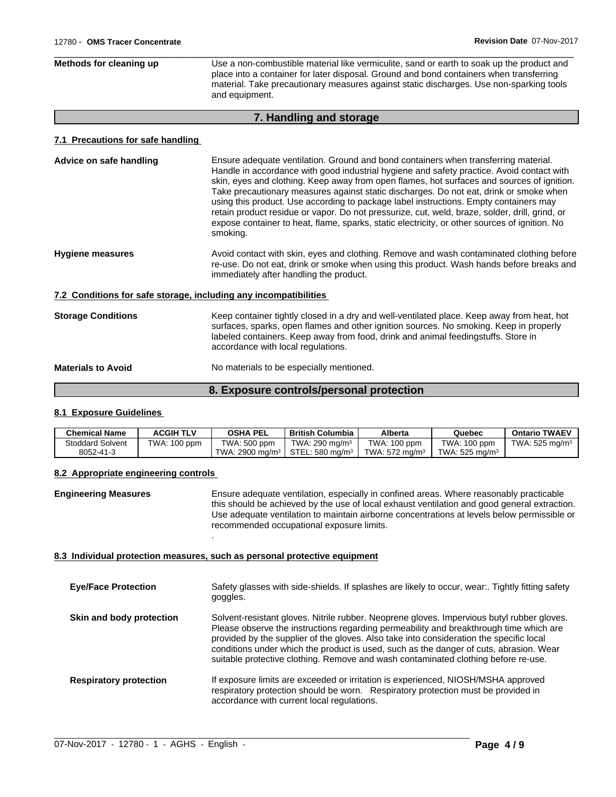| Methods for cleaning up | Use a non-combustible material like vermiculite, sand or earth to soak up the product and<br>place into a container for later disposal. Ground and bond containers when transferring<br>material. Take precautionary measures against static discharges. Use non-sparking tools<br>and equipment. |
|-------------------------|---------------------------------------------------------------------------------------------------------------------------------------------------------------------------------------------------------------------------------------------------------------------------------------------------|
|-------------------------|---------------------------------------------------------------------------------------------------------------------------------------------------------------------------------------------------------------------------------------------------------------------------------------------------|

# **7. Handling and storage**

#### **7.1 Precautions for safe handling**

| Advice on safe handling   | Ensure adequate ventilation. Ground and bond containers when transferring material.<br>Handle in accordance with good industrial hygiene and safety practice. Avoid contact with<br>skin, eyes and clothing. Keep away from open flames, hot surfaces and sources of ignition.<br>Take precautionary measures against static discharges. Do not eat, drink or smoke when<br>using this product. Use according to package label instructions. Empty containers may<br>retain product residue or vapor. Do not pressurize, cut, weld, braze, solder, drill, grind, or<br>expose container to heat, flame, sparks, static electricity, or other sources of ignition. No<br>smoking. |
|---------------------------|----------------------------------------------------------------------------------------------------------------------------------------------------------------------------------------------------------------------------------------------------------------------------------------------------------------------------------------------------------------------------------------------------------------------------------------------------------------------------------------------------------------------------------------------------------------------------------------------------------------------------------------------------------------------------------|
| <b>Hygiene measures</b>   | Avoid contact with skin, eyes and clothing. Remove and wash contaminated clothing before<br>re-use. Do not eat, drink or smoke when using this product. Wash hands before breaks and<br>immediately after handling the product.                                                                                                                                                                                                                                                                                                                                                                                                                                                  |
|                           | 7.2 Conditions for safe storage, including any incompatibilities                                                                                                                                                                                                                                                                                                                                                                                                                                                                                                                                                                                                                 |
| <b>Storage Conditions</b> | Keep container tightly closed in a dry and well-ventilated place. Keep away from heat, hot<br>surfaces, sparks, open flames and other ignition sources. No smoking. Keep in properly<br>labeled containers. Keep away from food, drink and animal feedingstuffs. Store in                                                                                                                                                                                                                                                                                                                                                                                                        |

**Materials to Avoid** No materials to be especially mentioned.

## **8. Exposure controls/personal protection**

accordance with local regulations.

## **8.1 Exposure Guidelines**

| <b>Chemical Name</b>    | <b>ACGIH TLV</b> | <b>OSHA PEL</b>             | <b>British Columbia</b>       | Alberta                   | Quebec            | <b>Ontario TWAEV</b>      |
|-------------------------|------------------|-----------------------------|-------------------------------|---------------------------|-------------------|---------------------------|
| <b>Stoddard Solvent</b> | TWA: 100 ppm     | TWA: 500 ppm                | TWA: 290 mg/m $3$             | TWA: 100 ppm              | TWA: 100 ppm      | TWA: $525 \text{ ma/m}^3$ |
| 8052-41-3               |                  | TWA: 2900 mg/m <sup>3</sup> | $STEL: 580$ ma/m <sup>3</sup> | TWA: $572 \text{ ma/m}^3$ | TWA: 525 mg/m $3$ |                           |

#### **8.2 Appropriate engineering controls**

**Engineering Measures** Ensure adequate ventilation, especially in confined areas. Where reasonably practicable this should be achieved by the use of local exhaust ventilation and good general extraction. Use adequate ventilation to maintain airborne concentrations at levels below permissible or recommended occupational exposure limits.

### **8.3 Individual protection measures, such as personal protective equipment**

.

| <b>Eye/Face Protection</b>    | Safety glasses with side-shields. If splashes are likely to occur, wear Tightly fitting safety<br>goggles.                                                                                                                                                                                                                                                                                                                                                      |
|-------------------------------|-----------------------------------------------------------------------------------------------------------------------------------------------------------------------------------------------------------------------------------------------------------------------------------------------------------------------------------------------------------------------------------------------------------------------------------------------------------------|
| Skin and body protection      | Solvent-resistant gloves. Nitrile rubber. Neoprene gloves. Impervious butyl rubber gloves.<br>Please observe the instructions regarding permeability and breakthrough time which are<br>provided by the supplier of the gloves. Also take into consideration the specific local<br>conditions under which the product is used, such as the danger of cuts, abrasion. Wear<br>suitable protective clothing. Remove and wash contaminated clothing before re-use. |
| <b>Respiratory protection</b> | If exposure limits are exceeded or irritation is experienced, NIOSH/MSHA approved<br>respiratory protection should be worn. Respiratory protection must be provided in<br>accordance with current local regulations.                                                                                                                                                                                                                                            |

 $\_$  ,  $\_$  ,  $\_$  ,  $\_$  ,  $\_$  ,  $\_$  ,  $\_$  ,  $\_$  ,  $\_$  ,  $\_$  ,  $\_$  ,  $\_$  ,  $\_$  ,  $\_$  ,  $\_$  ,  $\_$  ,  $\_$  ,  $\_$  ,  $\_$  ,  $\_$  ,  $\_$  ,  $\_$  ,  $\_$  ,  $\_$  ,  $\_$  ,  $\_$  ,  $\_$  ,  $\_$  ,  $\_$  ,  $\_$  ,  $\_$  ,  $\_$  ,  $\_$  ,  $\_$  ,  $\_$  ,  $\_$  ,  $\_$  ,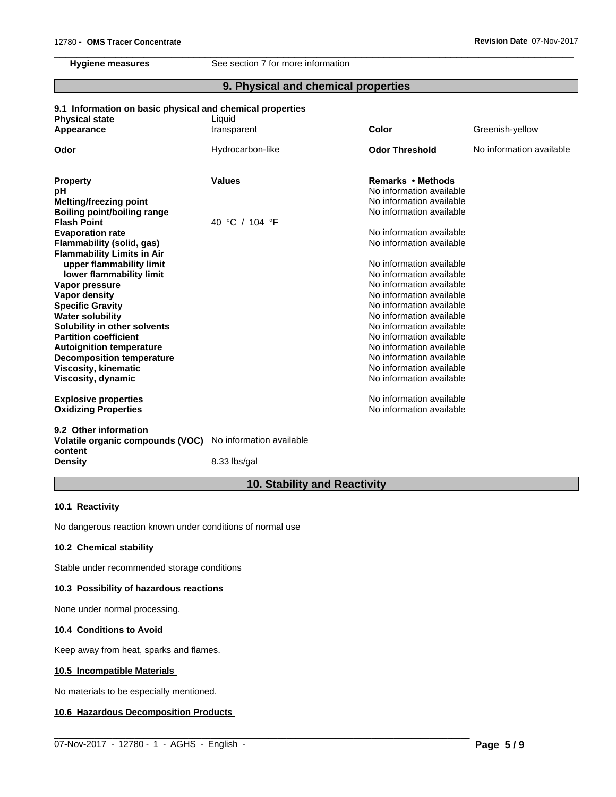**Hygiene measures** See section 7 for more information

## **9. Physical and chemical properties**

 $\overline{\phantom{a}}$  ,  $\overline{\phantom{a}}$  ,  $\overline{\phantom{a}}$  ,  $\overline{\phantom{a}}$  ,  $\overline{\phantom{a}}$  ,  $\overline{\phantom{a}}$  ,  $\overline{\phantom{a}}$  ,  $\overline{\phantom{a}}$  ,  $\overline{\phantom{a}}$  ,  $\overline{\phantom{a}}$  ,  $\overline{\phantom{a}}$  ,  $\overline{\phantom{a}}$  ,  $\overline{\phantom{a}}$  ,  $\overline{\phantom{a}}$  ,  $\overline{\phantom{a}}$  ,  $\overline{\phantom{a}}$ 

#### **9.1 Information on basic physical and chemical properties**

| <b>Physical state</b>                       | Liquid                   |                          |                          |
|---------------------------------------------|--------------------------|--------------------------|--------------------------|
| Appearance                                  | transparent              | Color                    | Greenish-yellow          |
| Odor                                        | Hydrocarbon-like         | <b>Odor Threshold</b>    | No information available |
| <b>Property</b>                             | Values                   | <b>Remarks • Methods</b> |                          |
| рH                                          |                          | No information available |                          |
| Melting/freezing point                      |                          | No information available |                          |
| <b>Boiling point/boiling range</b>          |                          | No information available |                          |
| <b>Flash Point</b>                          | 40 °C / 104 °F           |                          |                          |
| <b>Evaporation rate</b>                     |                          | No information available |                          |
| Flammability (solid, gas)                   |                          | No information available |                          |
| <b>Flammability Limits in Air</b>           |                          |                          |                          |
| upper flammability limit                    |                          | No information available |                          |
| lower flammability limit                    |                          | No information available |                          |
| Vapor pressure                              |                          | No information available |                          |
| Vapor density                               |                          | No information available |                          |
| <b>Specific Gravity</b>                     |                          | No information available |                          |
| <b>Water solubility</b>                     |                          | No information available |                          |
| Solubility in other solvents                |                          | No information available |                          |
| <b>Partition coefficient</b>                |                          | No information available |                          |
| <b>Autoignition temperature</b>             |                          | No information available |                          |
| <b>Decomposition temperature</b>            |                          | No information available |                          |
| Viscosity, kinematic                        |                          | No information available |                          |
| Viscosity, dynamic                          |                          | No information available |                          |
| <b>Explosive properties</b>                 |                          | No information available |                          |
| <b>Oxidizing Properties</b>                 |                          | No information available |                          |
| 9.2 Other information                       |                          |                          |                          |
| Volatile organic compounds (VOC)<br>content | No information available |                          |                          |

**Density** 8.33 lbs/gal

# **10. Stability and Reactivity**

 $\_$  ,  $\_$  ,  $\_$  ,  $\_$  ,  $\_$  ,  $\_$  ,  $\_$  ,  $\_$  ,  $\_$  ,  $\_$  ,  $\_$  ,  $\_$  ,  $\_$  ,  $\_$  ,  $\_$  ,  $\_$  ,  $\_$  ,  $\_$  ,  $\_$  ,  $\_$  ,  $\_$  ,  $\_$  ,  $\_$  ,  $\_$  ,  $\_$  ,  $\_$  ,  $\_$  ,  $\_$  ,  $\_$  ,  $\_$  ,  $\_$  ,  $\_$  ,  $\_$  ,  $\_$  ,  $\_$  ,  $\_$  ,  $\_$  ,

#### **10.1 Reactivity**

No dangerous reaction known under conditions of normal use

## **10.2 Chemical stability**

Stable under recommended storage conditions

#### **10.3 Possibility of hazardous reactions**

None under normal processing.

## **10.4 Conditions to Avoid**

Keep away from heat, sparks and flames.

## **10.5 Incompatible Materials**

No materials to be especially mentioned.

#### **10.6 Hazardous Decomposition Products**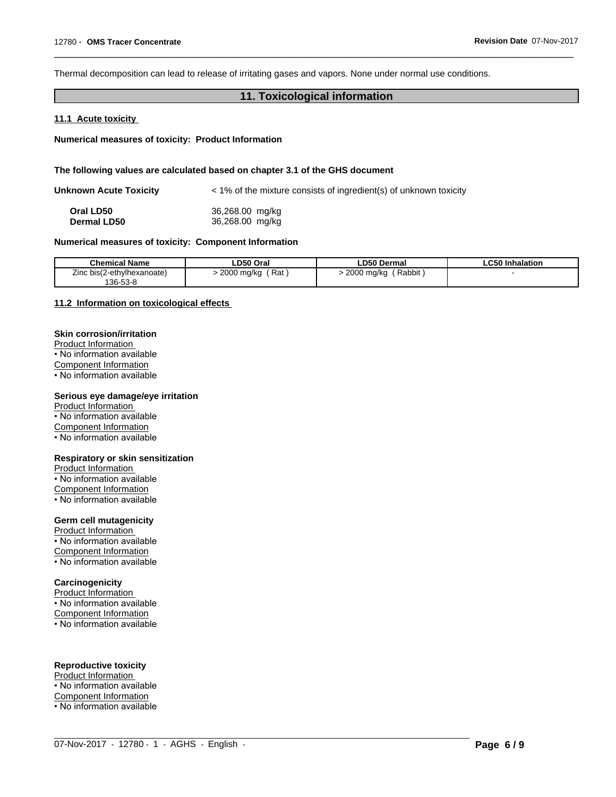Thermal decomposition can lead to release of irritating gases and vapors. None under normal use conditions.

## **11. Toxicological information**

 $\overline{\phantom{a}}$  ,  $\overline{\phantom{a}}$  ,  $\overline{\phantom{a}}$  ,  $\overline{\phantom{a}}$  ,  $\overline{\phantom{a}}$  ,  $\overline{\phantom{a}}$  ,  $\overline{\phantom{a}}$  ,  $\overline{\phantom{a}}$  ,  $\overline{\phantom{a}}$  ,  $\overline{\phantom{a}}$  ,  $\overline{\phantom{a}}$  ,  $\overline{\phantom{a}}$  ,  $\overline{\phantom{a}}$  ,  $\overline{\phantom{a}}$  ,  $\overline{\phantom{a}}$  ,  $\overline{\phantom{a}}$ 

#### **11.1 Acute toxicity**

**Numerical measures of toxicity: Product Information**

#### **The following values are calculated based on chapter 3.1 of the GHS document**

| <b>Unknown Acute Toxicity</b> | < 1% of the mixture consists of ingredient(s) of unknown toxicity |  |  |
|-------------------------------|-------------------------------------------------------------------|--|--|
| Oral LD50                     | 36,268.00 mg/kg                                                   |  |  |
| <b>Dermal LD50</b>            | 36,268.00 mg/kg                                                   |  |  |

#### **Numerical measures of toxicity: Component Information**

| <b>Chemical Name</b>                                         | LD50 Oral              | <b>LD50 Dermal</b>           | .C50 Inhalation |
|--------------------------------------------------------------|------------------------|------------------------------|-----------------|
| $\overline{\phantom{a}}$<br>: bis(2-ethvlhexanoate)<br>'.inc | 2000<br>Rat<br>, ma/ka | Rabbit<br>200C<br>2000 ma/ka |                 |
| 136-53-8                                                     |                        |                              |                 |

 $\_$  ,  $\_$  ,  $\_$  ,  $\_$  ,  $\_$  ,  $\_$  ,  $\_$  ,  $\_$  ,  $\_$  ,  $\_$  ,  $\_$  ,  $\_$  ,  $\_$  ,  $\_$  ,  $\_$  ,  $\_$  ,  $\_$  ,  $\_$  ,  $\_$  ,  $\_$  ,  $\_$  ,  $\_$  ,  $\_$  ,  $\_$  ,  $\_$  ,  $\_$  ,  $\_$  ,  $\_$  ,  $\_$  ,  $\_$  ,  $\_$  ,  $\_$  ,  $\_$  ,  $\_$  ,  $\_$  ,  $\_$  ,  $\_$  ,

#### **11.2 Information on toxicologicaleffects**

## **Skin corrosion/irritation**

Product Information • No information available Component Information • No information available

#### **Serious eye damage/eye irritation**

Product Information • No information available Component Information • No information available

#### **Respiratory or skin sensitization**

Product Information • No information available Component Information • No information available

#### **Germ cell mutagenicity**

Product Information • No information available Component Information • No information available

#### **Carcinogenicity**

**Product Information** 

• No information available

Component Information

• No information available

## **Reproductive toxicity**

Product Information

• No information available

Component Information • No information available

07-Nov-2017 - 12780 - 1 - AGHS - English - **Page 6 / 9**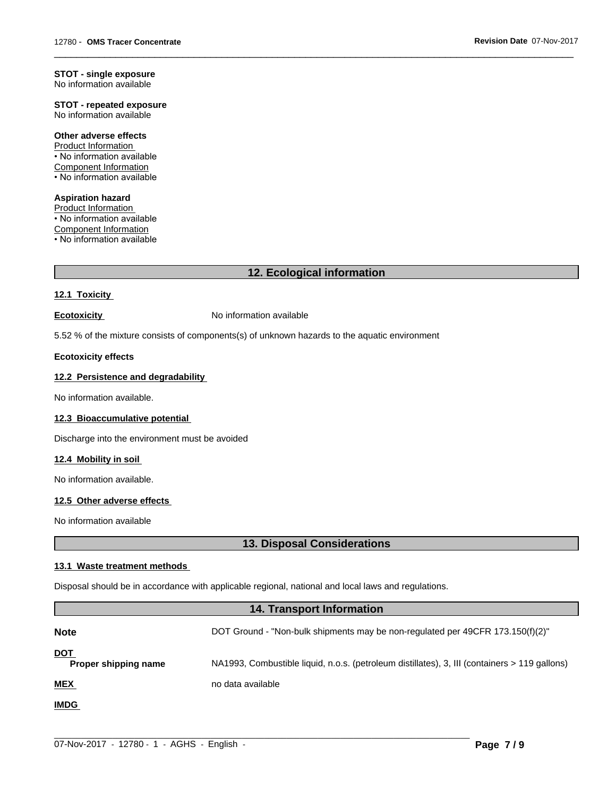#### **STOT - single exposure** No information available

**STOT - repeated exposure** No information available

#### **Other adverse effects**

Product Information • No information available Component Information • No information available

**Aspiration hazard** Product Information • No information available Component Information • No information available

## **12. Ecological information**

 $\overline{\phantom{a}}$  ,  $\overline{\phantom{a}}$  ,  $\overline{\phantom{a}}$  ,  $\overline{\phantom{a}}$  ,  $\overline{\phantom{a}}$  ,  $\overline{\phantom{a}}$  ,  $\overline{\phantom{a}}$  ,  $\overline{\phantom{a}}$  ,  $\overline{\phantom{a}}$  ,  $\overline{\phantom{a}}$  ,  $\overline{\phantom{a}}$  ,  $\overline{\phantom{a}}$  ,  $\overline{\phantom{a}}$  ,  $\overline{\phantom{a}}$  ,  $\overline{\phantom{a}}$  ,  $\overline{\phantom{a}}$ 

### **12.1 Toxicity**

**Ecotoxicity No information available** 

5.52 % of the mixture consists of components(s) of unknown hazards to the aquatic environment

#### **Ecotoxicity effects**

#### **12.2 Persistence and degradability**

No information available.

### **12.3 Bioaccumulative potential**

Discharge into the environment must be avoided

### **12.4 Mobility in soil**

No information available.

## **12.5 Other adverse effects**

No information available

# **13. Disposal Considerations**

#### **13.1 Waste treatment methods**

Disposal should be in accordance with applicable regional, national and local laws and regulations.

## **14. Transport Information**

| <b>Note</b>                        | DOT Ground - "Non-bulk shipments may be non-regulated per 49CFR 173.150(f)(2)"                |
|------------------------------------|-----------------------------------------------------------------------------------------------|
| <u>DOT</u><br>Proper shipping name | NA1993, Combustible liquid, n.o.s. (petroleum distillates), 3, III (containers > 119 gallons) |
| <b>MEX</b>                         | no data available                                                                             |
| <b>IMDG</b>                        |                                                                                               |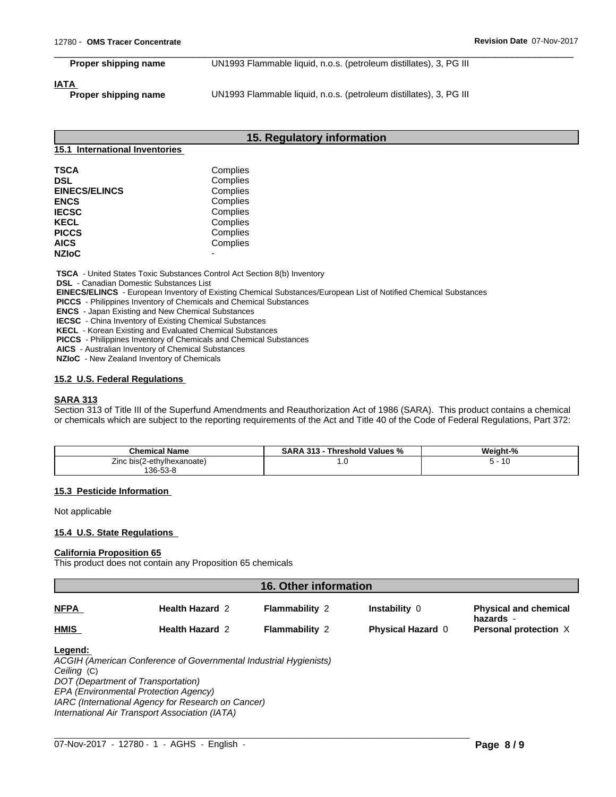**Proper shipping name** UN1993 Flammable liquid, n.o.s. (petroleum distillates), 3, PG III

 $\overline{\phantom{a}}$  ,  $\overline{\phantom{a}}$  ,  $\overline{\phantom{a}}$  ,  $\overline{\phantom{a}}$  ,  $\overline{\phantom{a}}$  ,  $\overline{\phantom{a}}$  ,  $\overline{\phantom{a}}$  ,  $\overline{\phantom{a}}$  ,  $\overline{\phantom{a}}$  ,  $\overline{\phantom{a}}$  ,  $\overline{\phantom{a}}$  ,  $\overline{\phantom{a}}$  ,  $\overline{\phantom{a}}$  ,  $\overline{\phantom{a}}$  ,  $\overline{\phantom{a}}$  ,  $\overline{\phantom{a}}$ 

#### **IATA**

**Proper shipping name** UN1993 Flammable liquid, n.o.s. (petroleum distillates), 3, PG III

#### **15. Regulatory information**

#### **15.1 International Inventories**

| <b>TSCA</b>          | Complies |  |
|----------------------|----------|--|
| <b>DSL</b>           | Complies |  |
| <b>EINECS/ELINCS</b> | Complies |  |
| <b>ENCS</b>          | Complies |  |
| <b>IECSC</b>         | Complies |  |
| <b>KECL</b>          | Complies |  |
| <b>PICCS</b>         | Complies |  |
| <b>AICS</b>          | Complies |  |
| <b>NZIoC</b>         |          |  |

 **TSCA** - United States Toxic Substances Control Act Section 8(b) Inventory

 **DSL** - Canadian Domestic Substances List

 **EINECS/ELINCS** - European Inventory of Existing Chemical Substances/European List of Notified Chemical Substances

 **PICCS** - Philippines Inventory of Chemicals and Chemical Substances

 **ENCS** - Japan Existing and New Chemical Substances

 **IECSC** - China Inventory of Existing Chemical Substances

 **KECL** - Korean Existing and Evaluated Chemical Substances

 **PICCS** - Philippines Inventory of Chemicals and Chemical Substances

 **AICS** - Australian Inventory of Chemical Substances

 **NZIoC** - New Zealand Inventory of Chemicals

#### **15.2 U.S. Federal Regulations**

#### **SARA 313**

Section 313 of Title III of the Superfund Amendments and Reauthorization Act of 1986 (SARA). This product contains a chemical or chemicals which are subject to the reporting requirements of the Act and Title 40 of the Code of Federal Regulations, Part 372:

| <b>Chemical Name</b>       | <b>SARA</b><br>313<br>.d Values <sup>o∕</sup><br><b>Threshold</b><br>"∕o | Weight-%                          |
|----------------------------|--------------------------------------------------------------------------|-----------------------------------|
| Zinc bis(2-ethylhexanoate) | 1.V                                                                      | $\overline{ }$<br>- 10<br>$\cdot$ |
| 136-53-8                   |                                                                          |                                   |

#### **15.3 Pesticide Information**

Not applicable

#### **15.4 U.S. State Regulations**

## **California Proposition 65**

This product does not contain any Proposition 65 chemicals

| <b>16. Other information</b> |                        |                       |                          |                                           |
|------------------------------|------------------------|-----------------------|--------------------------|-------------------------------------------|
| <b>NFPA</b>                  | <b>Health Hazard 2</b> | <b>Flammability 2</b> | <b>Instability 0</b>     | <b>Physical and chemical</b><br>hazards - |
| <b>HMIS</b>                  | <b>Health Hazard 2</b> | <b>Flammability 2</b> | <b>Physical Hazard 0</b> | <b>Personal protection X</b>              |
|                              |                        |                       |                          |                                           |

 $\_$  ,  $\_$  ,  $\_$  ,  $\_$  ,  $\_$  ,  $\_$  ,  $\_$  ,  $\_$  ,  $\_$  ,  $\_$  ,  $\_$  ,  $\_$  ,  $\_$  ,  $\_$  ,  $\_$  ,  $\_$  ,  $\_$  ,  $\_$  ,  $\_$  ,  $\_$  ,  $\_$  ,  $\_$  ,  $\_$  ,  $\_$  ,  $\_$  ,  $\_$  ,  $\_$  ,  $\_$  ,  $\_$  ,  $\_$  ,  $\_$  ,  $\_$  ,  $\_$  ,  $\_$  ,  $\_$  ,  $\_$  ,  $\_$  ,

#### **Legend:**

*ACGIH (American Conference of Governmental Industrial Hygienists) Ceiling* (C) *DOT (Department of Transportation) EPA (Environmental Protection Agency)*

*IARC (International Agency for Research on Cancer)*

*International Air Transport Association (IATA)*